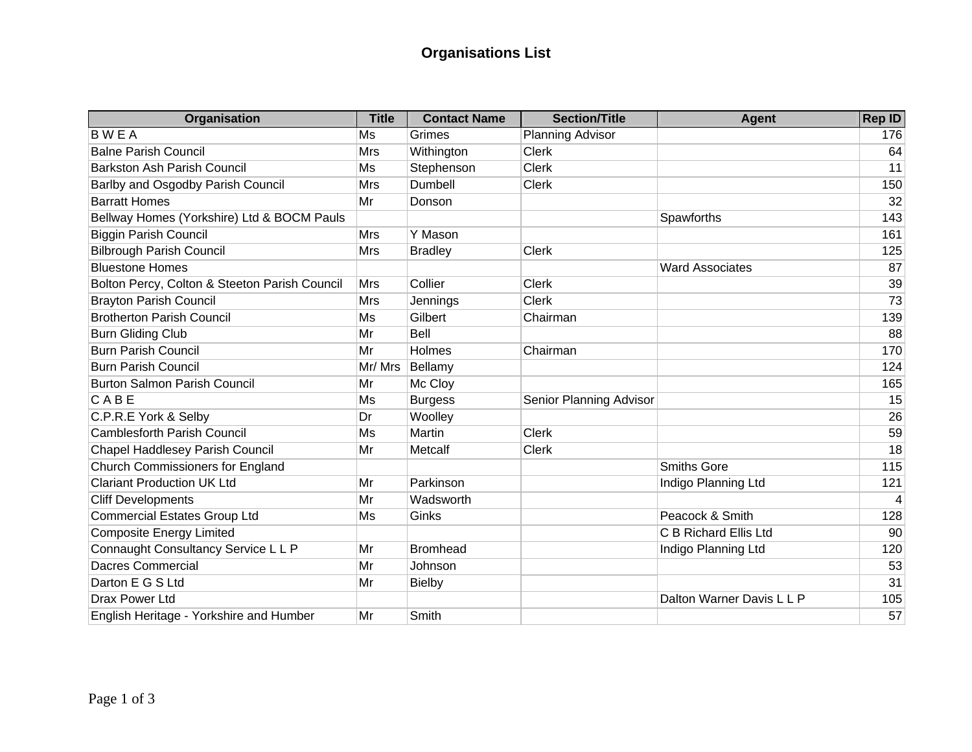## **Organisations List**

| Organisation                                  | <b>Title</b> | <b>Contact Name</b> | <b>Section/Title</b>    | <b>Agent</b>              | <b>Rep ID</b> |
|-----------------------------------------------|--------------|---------------------|-------------------------|---------------------------|---------------|
| <b>BWEA</b>                                   | Ms           | Grimes              | <b>Planning Advisor</b> |                           | 176           |
| <b>Balne Parish Council</b>                   | <b>Mrs</b>   | Withington          | <b>Clerk</b>            |                           | 64            |
| <b>Barkston Ash Parish Council</b>            | Ms           | Stephenson          | <b>Clerk</b>            |                           | 11            |
| Barlby and Osgodby Parish Council             | <b>Mrs</b>   | Dumbell             | <b>Clerk</b>            |                           | 150           |
| <b>Barratt Homes</b>                          | Mr           | Donson              |                         |                           | 32            |
| Bellway Homes (Yorkshire) Ltd & BOCM Pauls    |              |                     |                         | Spawforths                | 143           |
| <b>Biggin Parish Council</b>                  | Mrs          | Y Mason             |                         |                           | 161           |
| <b>Bilbrough Parish Council</b>               | <b>Mrs</b>   | <b>Bradley</b>      | <b>Clerk</b>            |                           | 125           |
| <b>Bluestone Homes</b>                        |              |                     |                         | <b>Ward Associates</b>    | 87            |
| Bolton Percy, Colton & Steeton Parish Council | Mrs          | Collier             | <b>Clerk</b>            |                           | 39            |
| <b>Brayton Parish Council</b>                 | <b>Mrs</b>   | Jennings            | <b>Clerk</b>            |                           | 73            |
| <b>Brotherton Parish Council</b>              | Ms           | Gilbert             | Chairman                |                           | 139           |
| <b>Burn Gliding Club</b>                      | Mr           | <b>Bell</b>         |                         |                           | 88            |
| <b>Burn Parish Council</b>                    | Mr           | Holmes              | Chairman                |                           | 170           |
| <b>Burn Parish Council</b>                    | Mr/Mrs       | Bellamy             |                         |                           | 124           |
| <b>Burton Salmon Parish Council</b>           | Mr           | Mc Cloy             |                         |                           | 165           |
| CABE                                          | Ms           | <b>Burgess</b>      | Senior Planning Advisor |                           | 15            |
| C.P.R.E York & Selby                          | Dr           | Woolley             |                         |                           | 26            |
| <b>Camblesforth Parish Council</b>            | Ms           | Martin              | <b>Clerk</b>            |                           | 59            |
| Chapel Haddlesey Parish Council               | Mr           | Metcalf             | <b>Clerk</b>            |                           | 18            |
| <b>Church Commissioners for England</b>       |              |                     |                         | <b>Smiths Gore</b>        | 115           |
| <b>Clariant Production UK Ltd</b>             | Mr           | Parkinson           |                         | Indigo Planning Ltd       | 121           |
| <b>Cliff Developments</b>                     | Mr           | Wadsworth           |                         |                           | 4             |
| <b>Commercial Estates Group Ltd</b>           | Ms           | Ginks               |                         | Peacock & Smith           | 128           |
| Composite Energy Limited                      |              |                     |                         | C B Richard Ellis Ltd     | 90            |
| Connaught Consultancy Service L L P           | Mr           | <b>Bromhead</b>     |                         | Indigo Planning Ltd       | 120           |
| <b>Dacres Commercial</b>                      | Mr           | Johnson             |                         |                           | 53            |
| Darton E G S Ltd                              | Mr           | <b>Bielby</b>       |                         |                           | 31            |
| <b>Drax Power Ltd</b>                         |              |                     |                         | Dalton Warner Davis L L P | 105           |
| English Heritage - Yorkshire and Humber       | Mr           | Smith               |                         |                           | 57            |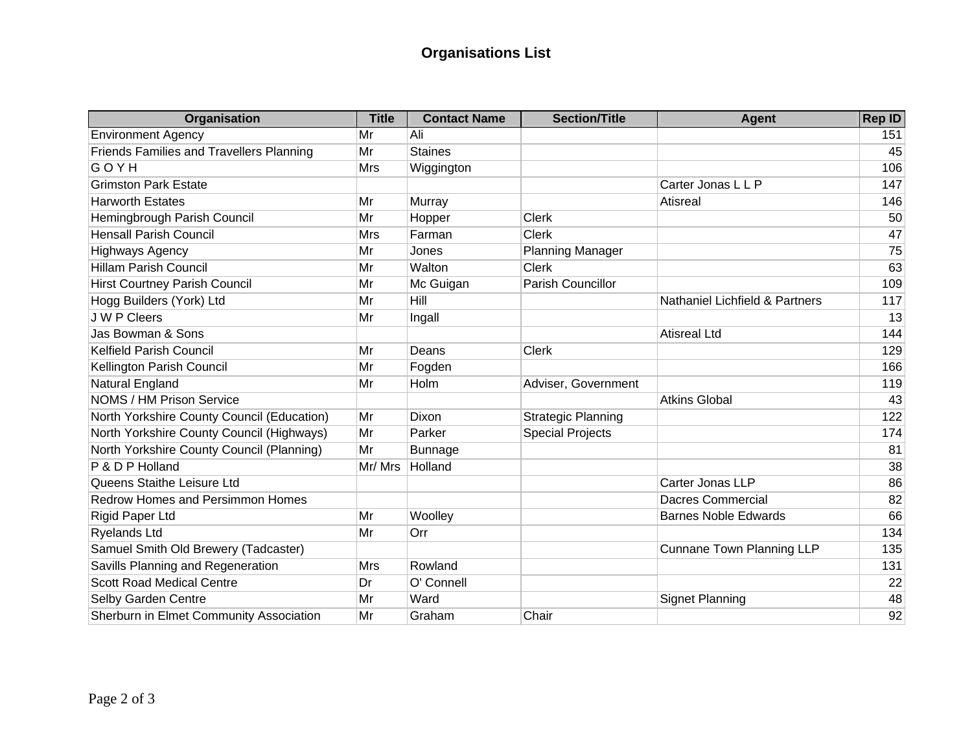## **Organisations List**

| Organisation                               | <b>Title</b> | <b>Contact Name</b> | <b>Section/Title</b>      | <b>Agent</b>                     | <b>Rep ID</b> |
|--------------------------------------------|--------------|---------------------|---------------------------|----------------------------------|---------------|
| <b>Environment Agency</b>                  | Mr           | Ali                 |                           |                                  | 151           |
| Friends Families and Travellers Planning   | Mr           | <b>Staines</b>      |                           |                                  | 45            |
| GOYH                                       | <b>Mrs</b>   | Wiggington          |                           |                                  | 106           |
| <b>Grimston Park Estate</b>                |              |                     |                           | Carter Jonas L L P               | 147           |
| <b>Harworth Estates</b>                    | Mr           | Murray              |                           | Atisreal                         | 146           |
| Hemingbrough Parish Council                | Mr           | Hopper              | <b>Clerk</b>              |                                  | 50            |
| <b>Hensall Parish Council</b>              | <b>Mrs</b>   | Farman              | <b>Clerk</b>              |                                  | 47            |
| <b>Highways Agency</b>                     | Mr           | Jones               | <b>Planning Manager</b>   |                                  | 75            |
| <b>Hillam Parish Council</b>               | Mr           | Walton              | <b>Clerk</b>              |                                  | 63            |
| <b>Hirst Courtney Parish Council</b>       | Mr           | Mc Guigan           | Parish Councillor         |                                  | 109           |
| Hogg Builders (York) Ltd                   | Mr           | Hill                |                           | Nathaniel Lichfield & Partners   | 117           |
| J W P Cleers                               | Mr           | Ingall              |                           |                                  | 13            |
| Jas Bowman & Sons                          |              |                     |                           | <b>Atisreal Ltd</b>              | 144           |
| <b>Kelfield Parish Council</b>             | Mr           | Deans               | <b>Clerk</b>              |                                  | 129           |
| Kellington Parish Council                  | Mr           | Fogden              |                           |                                  | 166           |
| <b>Natural England</b>                     | Mr           | Holm                | Adviser, Government       |                                  | 119           |
| NOMS / HM Prison Service                   |              |                     |                           | <b>Atkins Global</b>             | 43            |
| North Yorkshire County Council (Education) | Mr           | Dixon               | <b>Strategic Planning</b> |                                  | 122           |
| North Yorkshire County Council (Highways)  | Mr           | Parker              | <b>Special Projects</b>   |                                  | 174           |
| North Yorkshire County Council (Planning)  | Mr           | <b>Bunnage</b>      |                           |                                  | 81            |
| P & D P Holland                            | Mr/Mrs       | Holland             |                           |                                  | 38            |
| Queens Staithe Leisure Ltd                 |              |                     |                           | Carter Jonas LLP                 | 86            |
| <b>Redrow Homes and Persimmon Homes</b>    |              |                     |                           | <b>Dacres Commercial</b>         | 82            |
| Rigid Paper Ltd                            | Mr           | Woolley             |                           | <b>Barnes Noble Edwards</b>      | 66            |
| Ryelands Ltd                               | Mr           | Orr                 |                           |                                  | 134           |
| Samuel Smith Old Brewery (Tadcaster)       |              |                     |                           | <b>Cunnane Town Planning LLP</b> | 135           |
| Savills Planning and Regeneration          | Mrs          | Rowland             |                           |                                  | 131           |
| <b>Scott Road Medical Centre</b>           | Dr           | O' Connell          |                           |                                  | 22            |
| Selby Garden Centre                        | Mr           | Ward                |                           | <b>Signet Planning</b>           | 48            |
| Sherburn in Elmet Community Association    | Mr           | Graham              | Chair                     |                                  | 92            |